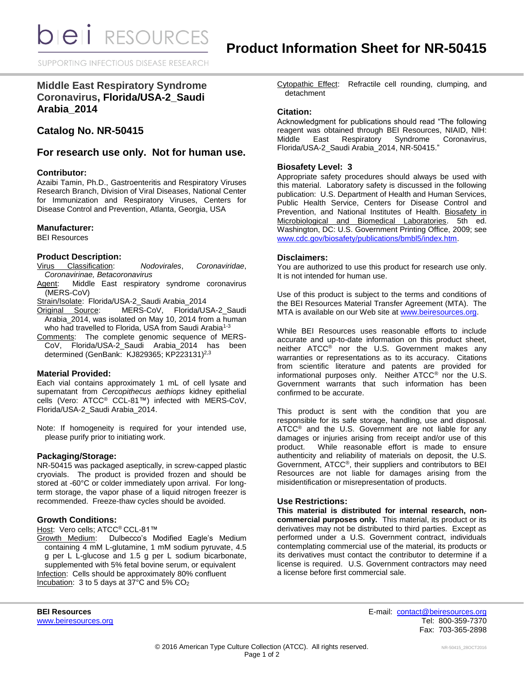**bieli** RESOURCES

SUPPORTING INFECTIOUS DISEASE RESEARCH

# **Middle East Respiratory Syndrome Coronavirus, Florida/USA-2\_Saudi Arabia\_2014**

# **Catalog No. NR-50415**

# **For research use only. Not for human use.**

#### **Contributor:**

Azaibi Tamin, Ph.D., Gastroenteritis and Respiratory Viruses Research Branch, Division of Viral Diseases, National Center for Immunization and Respiratory Viruses, Centers for Disease Control and Prevention, Atlanta, Georgia, USA

#### **Manufacturer:**

BEI Resources

## **Product Description:**

Virus Classification: *Nodovirales*, *Coronaviridae*, *Coronavirinae, Betacoronavirus*

Agent: Middle East respiratory syndrome coronavirus (MERS-CoV)

- Strain/Isolate: Florida/USA-2\_Saudi Arabia\_2014<br>Original Source: MERS-CoV, Florida/US MERS-CoV, Florida/USA-2\_Saudi Arabia\_2014, was isolated on May 10, 2014 from a human who had travelled to Florida, USA from Saudi Arabia<sup>1-3</sup>
- Comments: The complete genomic sequence of MERS-CoV, Florida/USA-2\_Saudi Arabia\_2014 has been determined (GenBank: KJ829365; KP223131)<sup>2,3</sup>

## **Material Provided:**

Each vial contains approximately 1 mL of cell lysate and supernatant from *Cercopithecus aethiops* kidney epithelial cells (Vero: ATCC® CCL-81™) infected with MERS-CoV, Florida/USA-2\_Saudi Arabia\_2014.

Note: If homogeneity is required for your intended use, please purify prior to initiating work.

## **Packaging/Storage:**

NR-50415 was packaged aseptically, in screw-capped plastic cryovials. The product is provided frozen and should be stored at -60°C or colder immediately upon arrival. For longterm storage, the vapor phase of a liquid nitrogen freezer is recommended. Freeze-thaw cycles should be avoided.

#### **Growth Conditions:**

Host: Vero cells; ATCC<sup>®</sup> CCL-81™

Growth Medium: Dulbecco's Modified Eagle's Medium containing 4 mM L-glutamine, 1 mM sodium pyruvate, 4.5 g per L L-glucose and 1.5 g per L sodium bicarbonate, supplemented with 5% fetal bovine serum, or equivalent Infection: Cells should be approximately 80% confluent Incubation: 3 to 5 days at 37°C and 5% CO<sup>2</sup>

Cytopathic Effect: Refractile cell rounding, clumping, and detachment

#### **Citation:**

Acknowledgment for publications should read "The following reagent was obtained through BEI Resources, NIAID, NIH: Middle East Respiratory Syndrome Coronavirus, Florida/USA-2\_Saudi Arabia\_2014, NR-50415."

## **Biosafety Level: 3**

Appropriate safety procedures should always be used with this material. Laboratory safety is discussed in the following publication: U.S. Department of Health and Human Services, Public Health Service, Centers for Disease Control and Prevention, and National Institutes of Health. Biosafety in Microbiological and Biomedical Laboratories. 5th ed. Washington, DC: U.S. Government Printing Office, 2009; see [www.cdc.gov/biosafety/publications/bmbl5/index.htm.](http://www.cdc.gov/biosafety/publications/bmbl5/index.htm)

#### **Disclaimers:**

You are authorized to use this product for research use only. It is not intended for human use.

Use of this product is subject to the terms and conditions of the BEI Resources Material Transfer Agreement (MTA). The MTA is available on our Web site at [www.beiresources.org.](http://www.beiresources.org/)

While BEI Resources uses reasonable efforts to include accurate and up-to-date information on this product sheet, neither ATCC<sup>®</sup> nor the U.S. Government makes any warranties or representations as to its accuracy. Citations from scientific literature and patents are provided for informational purposes only. Neither ATCC® nor the U.S. Government warrants that such information has been confirmed to be accurate.

This product is sent with the condition that you are responsible for its safe storage, handling, use and disposal. ATCC® and the U.S. Government are not liable for any damages or injuries arising from receipt and/or use of this product. While reasonable effort is made to ensure authenticity and reliability of materials on deposit, the U.S. Government, ATCC®, their suppliers and contributors to BEI Resources are not liable for damages arising from the misidentification or misrepresentation of products.

## **Use Restrictions:**

**This material is distributed for internal research, noncommercial purposes only.** This material, its product or its derivatives may not be distributed to third parties. Except as performed under a U.S. Government contract, individuals contemplating commercial use of the material, its products or its derivatives must contact the contributor to determine if a license is required. U.S. Government contractors may need a license before first commercial sale.

**BEI Resources** E-mail: [contact@beiresources.org](mailto:contact@beiresources.org) [www.beiresources.org](http://www.beiresources.org/) **Tel: 800-359-7370** Fax: 703-365-2898